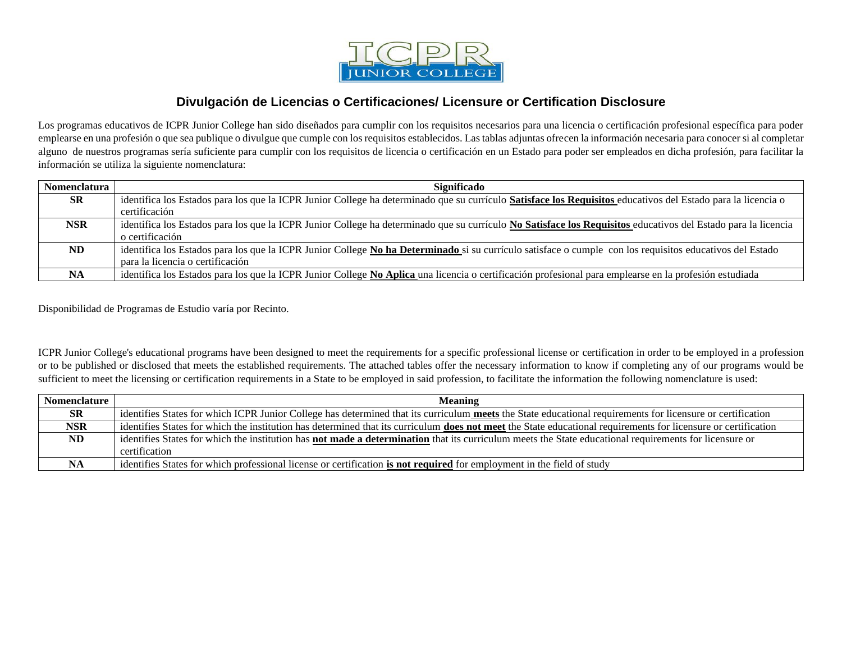

## **Divulgación de Licencias o Certificaciones/ Licensure or Certification Disclosure**

Los programas educativos de ICPR Junior College han sido diseñados para cumplir con los requisitos necesarios para una licencia o certificación profesional específica para poder emplearse en una profesión o que sea publique o divulgue que cumple con los requisitos establecidos. Las tablas adjuntas ofrecen la información necesaria para conocer si al completar alguno de nuestros programas sería suficiente para cumplir con los requisitos de licencia o certificación en un Estado para poder ser empleados en dicha profesión, para facilitar la información se utiliza la siguiente nomenclatura:

| Nomenclatura | Significado                                                                                                                                                   |
|--------------|---------------------------------------------------------------------------------------------------------------------------------------------------------------|
| <b>SR</b>    | identifica los Estados para los que la ICPR Junior College ha determinado que su currículo Satisface los Requisitos educativos del Estado para la licencia o  |
|              | certificación                                                                                                                                                 |
| NSR          | identifica los Estados para los que la ICPR Junior College ha determinado que su currículo No Satisface los Requisitos educativos del Estado para la licencia |
|              | o certificación                                                                                                                                               |
| ND           | identifica los Estados para los que la ICPR Junior College No ha Determinado si su currículo satisface o cumple con los requisitos educativos del Estado      |
|              | para la licencia o certificación                                                                                                                              |
| <b>NA</b>    | identifica los Estados para los que la ICPR Junior College No Aplica una licencia o certificación profesional para emplearse en la profesión estudiada        |

Disponibilidad de Programas de Estudio varía por Recinto.

ICPR Junior College's educational programs have been designed to meet the requirements for a specific professional license or certification in order to be employed in a profession or to be published or disclosed that meets the established requirements. The attached tables offer the necessary information to know if completing any of our programs would be sufficient to meet the licensing or certification requirements in a State to be employed in said profession, to facilitate the information the following nomenclature is used:

| Nomenclature | <b>Meaning</b>                                                                                                                                                        |
|--------------|-----------------------------------------------------------------------------------------------------------------------------------------------------------------------|
| <b>SR</b>    | identifies States for which ICPR Junior College has determined that its curriculum <b>meets</b> the State educational requirements for licensure or certification     |
| NSR.         | identifies States for which the institution has determined that its curriculum <b>does not meet</b> the State educational requirements for licensure or certification |
| ND           | identifies States for which the institution has <b>not made a determination</b> that its curriculum meets the State educational requirements for licensure or         |
|              | certification                                                                                                                                                         |
| NA           | identifies States for which professional license or certification is not required for employment in the field of study                                                |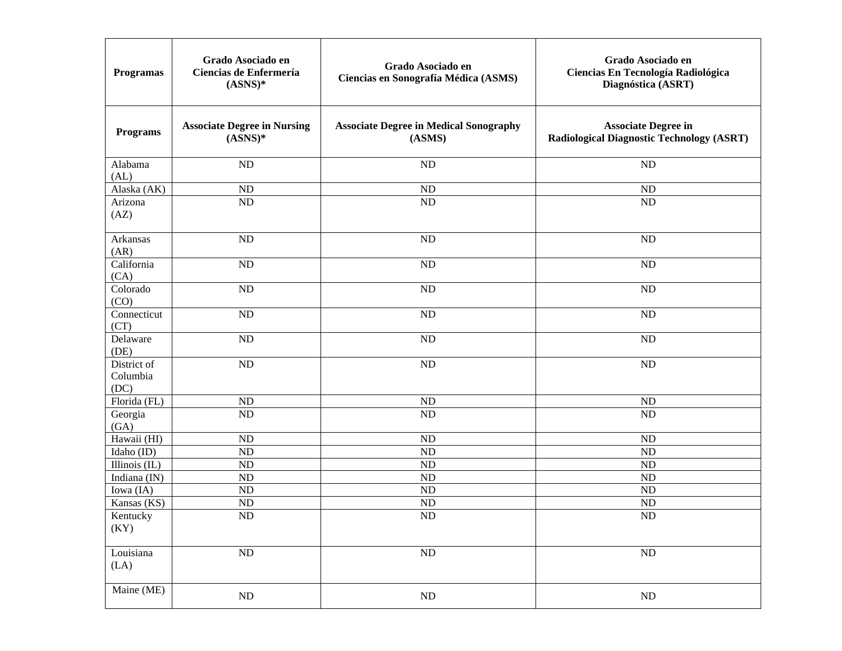| <b>Programas</b>                | Grado Asociado en<br>Ciencias de Enfermería<br>$(ASS)$ * | Grado Asociado en<br>Ciencias en Sonografía Médica (ASMS) | Grado Asociado en<br>Ciencias En Tecnología Radiológica<br>Diagnóstica (ASRT)  |
|---------------------------------|----------------------------------------------------------|-----------------------------------------------------------|--------------------------------------------------------------------------------|
| <b>Programs</b>                 | <b>Associate Degree in Nursing</b><br>$(ASS)$ *          | <b>Associate Degree in Medical Sonography</b><br>(ASMS)   | <b>Associate Degree in</b><br><b>Radiological Diagnostic Technology (ASRT)</b> |
| Alabama<br>(AL)                 | ND                                                       | <b>ND</b>                                                 | <b>ND</b>                                                                      |
| Alaska (AK)                     | ND                                                       | ND                                                        | <b>ND</b>                                                                      |
| Arizona<br>(AZ)                 | ND                                                       | <b>ND</b>                                                 | <b>ND</b>                                                                      |
| Arkansas<br>(AR)                | ND                                                       | <b>ND</b>                                                 | <b>ND</b>                                                                      |
| California<br>(CA)              | N <sub>D</sub>                                           | <b>ND</b>                                                 | <b>ND</b>                                                                      |
| Colorado<br>(CO)                | ND                                                       | <b>ND</b>                                                 | <b>ND</b>                                                                      |
| Connecticut<br>(CT)             | N <sub>D</sub>                                           | <b>ND</b>                                                 | <b>ND</b>                                                                      |
| Delaware<br>(DE)                | N <sub>D</sub>                                           | <b>ND</b>                                                 | <b>ND</b>                                                                      |
| District of<br>Columbia<br>(DC) | N <sub>D</sub>                                           | <b>ND</b>                                                 | <b>ND</b>                                                                      |
| Florida (FL)                    | N <sub>D</sub>                                           | <b>ND</b>                                                 | <b>ND</b>                                                                      |
| Georgia<br>(GA)                 | N <sub>D</sub>                                           | <b>ND</b>                                                 | ND                                                                             |
| Hawaii (HI)                     | N <sub>D</sub>                                           | <b>ND</b>                                                 | <b>ND</b>                                                                      |
| Idaho (ID)                      | <b>ND</b>                                                | <b>ND</b>                                                 | <b>ND</b>                                                                      |
| Illinois $(IL)$                 | ND                                                       | <b>ND</b>                                                 | ND                                                                             |
| Indiana (IN)                    | N <sub>D</sub>                                           | <b>ND</b>                                                 | ND                                                                             |
| Iowa (IA)                       | N <sub>D</sub>                                           | <b>ND</b>                                                 | <b>ND</b>                                                                      |
| Kansas (KS)                     | N <sub>D</sub>                                           | ND                                                        | ND                                                                             |
| Kentucky<br>(KY)                | $\rm ND$                                                 | ND                                                        | $\rm ND$                                                                       |
| Louisiana<br>(LA)               | $\rm ND$                                                 | $\rm ND$                                                  | $\rm ND$                                                                       |
| Maine (ME)                      | $\rm ND$                                                 | $\rm ND$                                                  | $\rm ND$                                                                       |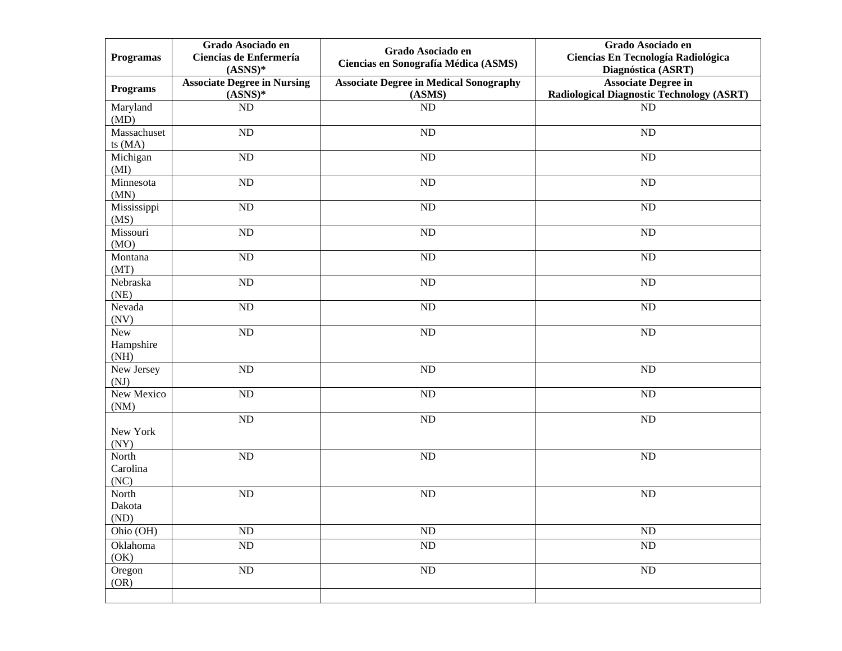| <b>Programas</b>          | Grado Asociado en<br>Ciencias de Enfermería<br>$(ASS)$ * | Grado Asociado en<br>Ciencias en Sonografía Médica (ASMS) | Grado Asociado en<br>Ciencias En Tecnología Radiológica<br>Diagnóstica (ASRT)  |
|---------------------------|----------------------------------------------------------|-----------------------------------------------------------|--------------------------------------------------------------------------------|
| <b>Programs</b>           | <b>Associate Degree in Nursing</b><br>$(ASS)$ *          | <b>Associate Degree in Medical Sonography</b><br>(ASMS)   | <b>Associate Degree in</b><br><b>Radiological Diagnostic Technology (ASRT)</b> |
| Maryland                  | ND                                                       | ND                                                        | ND                                                                             |
| (MD)                      |                                                          |                                                           |                                                                                |
| Massachuset<br>ts $(MA)$  | ND                                                       | <b>ND</b>                                                 | ND                                                                             |
| Michigan<br>(MI)          | ND                                                       | <b>ND</b>                                                 | ND                                                                             |
| Minnesota<br>(MN)         | ND                                                       | <b>ND</b>                                                 | <b>ND</b>                                                                      |
| Mississippi<br>(MS)       | $\rm ND$                                                 | <b>ND</b>                                                 | <b>ND</b>                                                                      |
| Missouri<br>(MO)          | $\rm ND$                                                 | <b>ND</b>                                                 | $\rm ND$                                                                       |
| Montana<br>(MT)           | $\rm ND$                                                 | <b>ND</b>                                                 | <b>ND</b>                                                                      |
| Nebraska<br>(NE)          | $\rm ND$                                                 | <b>ND</b>                                                 | <b>ND</b>                                                                      |
| Nevada<br>(NV)            | $\rm ND$                                                 | <b>ND</b>                                                 | ND                                                                             |
| New<br>Hampshire<br>(NH)  | ND                                                       | <b>ND</b>                                                 | ND                                                                             |
| New Jersey<br>(NJ)        | $\rm ND$                                                 | $\rm ND$                                                  | $\rm ND$                                                                       |
| New Mexico<br>(NM)        | ND                                                       | <b>ND</b>                                                 | <b>ND</b>                                                                      |
| New York<br>(NY)          | $\rm ND$                                                 | <b>ND</b>                                                 | <b>ND</b>                                                                      |
| North<br>Carolina<br>(NC) | ND                                                       | <b>ND</b>                                                 | <b>ND</b>                                                                      |
| North<br>Dakota<br>(ND)   | $\rm ND$                                                 | ND                                                        | ND                                                                             |
| Ohio (OH)                 | $\rm ND$                                                 | ND                                                        | $\rm ND$                                                                       |
| Oklahoma<br>(OK)          | $\rm ND$                                                 | $\rm ND$                                                  | $\rm ND$                                                                       |
| Oregon<br>(OR)            | $\rm ND$                                                 | $\rm ND$                                                  | ND                                                                             |
|                           |                                                          |                                                           |                                                                                |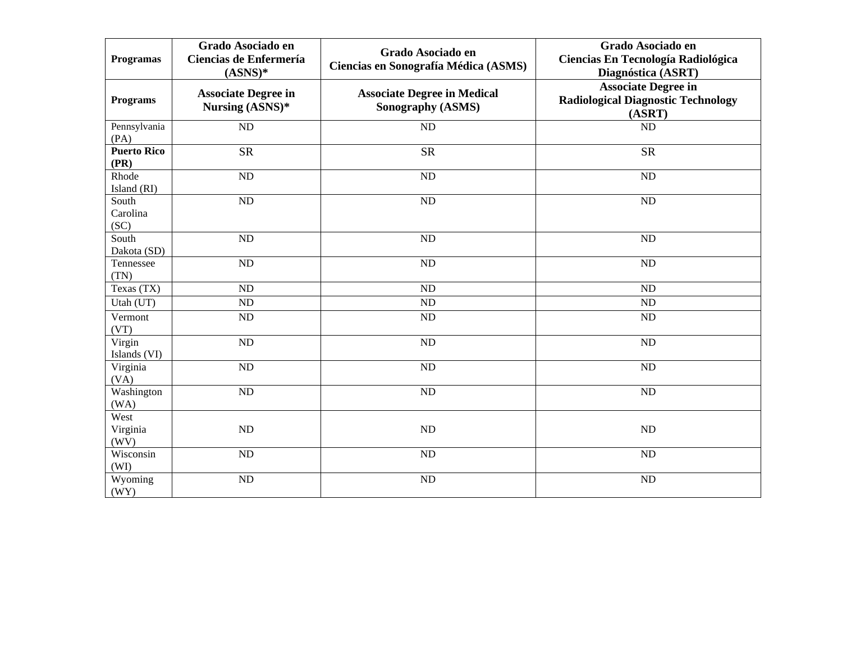| <b>Programas</b>           | Grado Asociado en<br>Ciencias de Enfermería<br>$(ASS)$ * | Grado Asociado en<br>Ciencias en Sonografía Médica (ASMS)      | Grado Asociado en<br>Ciencias En Tecnología Radiológica<br>Diagnóstica (ASRT)     |
|----------------------------|----------------------------------------------------------|----------------------------------------------------------------|-----------------------------------------------------------------------------------|
| <b>Programs</b>            | <b>Associate Degree in</b><br>Nursing (ASNS)*            | <b>Associate Degree in Medical</b><br><b>Sonography (ASMS)</b> | <b>Associate Degree in</b><br><b>Radiological Diagnostic Technology</b><br>(ASRT) |
| Pennsylvania<br>(PA)       | $\overline{ND}$                                          | ND                                                             | ND                                                                                |
| <b>Puerto Rico</b><br>(PR) | <b>SR</b>                                                | <b>SR</b>                                                      | <b>SR</b>                                                                         |
| Rhode<br>Island (RI)       | <b>ND</b>                                                | ND                                                             | ND                                                                                |
| South<br>Carolina<br>(SC)  | <b>ND</b>                                                | ND                                                             | <b>ND</b>                                                                         |
| South<br>Dakota (SD)       | <b>ND</b>                                                | $\overline{ND}$                                                | ND                                                                                |
| Tennessee<br>(TN)          | <b>ND</b>                                                | N <sub>D</sub>                                                 | ND                                                                                |
| Texas (TX)                 | <b>ND</b>                                                | ND                                                             | ND                                                                                |
| Utah (UT)                  | ND                                                       | ND                                                             | ND                                                                                |
| Vermont<br>(VT)            | ND                                                       | ND                                                             | ND                                                                                |
| Virgin<br>Islands (VI)     | $\overline{ND}$                                          | $\overline{ND}$                                                | $\overline{ND}$                                                                   |
| Virginia<br>(VA)           | ND                                                       | ND                                                             | ND                                                                                |
| Washington<br>(WA)         | ND                                                       | ND                                                             | ND                                                                                |
| West<br>Virginia<br>(WV)   | ND                                                       | ND                                                             | ND                                                                                |
| Wisconsin<br>(WI)          | <b>ND</b>                                                | ${\rm ND}$                                                     | ND                                                                                |
| Wyoming<br>(WY)            | N <sub>D</sub>                                           | ND                                                             | <b>ND</b>                                                                         |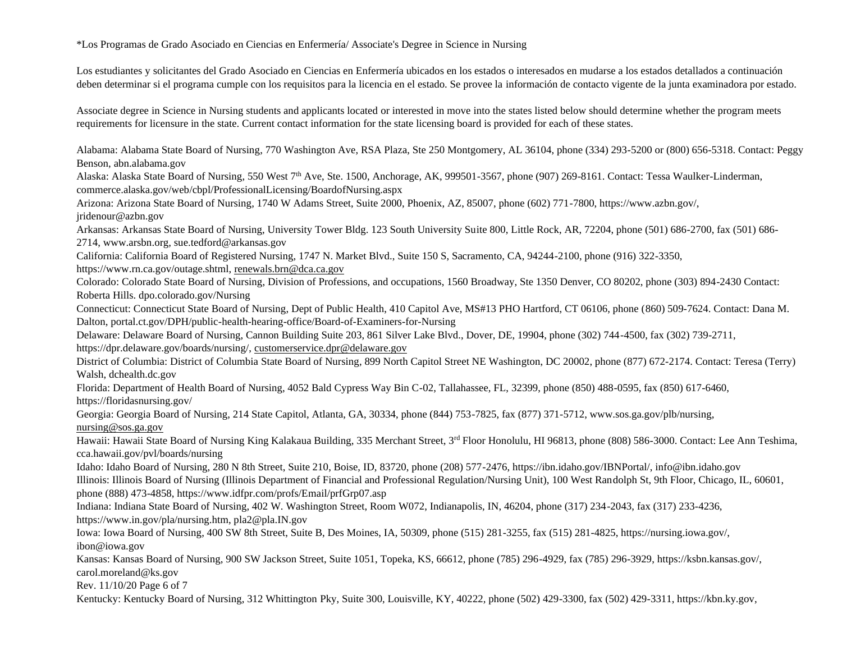\*Los Programas de Grado Asociado en Ciencias en Enfermería/ Associate's Degree in Science in Nursing

Los estudiantes y solicitantes del Grado Asociado en Ciencias en Enfermería ubicados en los estados o interesados en mudarse a los estados detallados a continuación deben determinar si el programa cumple con los requisitos para la licencia en el estado. Se provee la información de contacto vigente de la junta examinadora por estado.

Associate degree in Science in Nursing students and applicants located or interested in move into the states listed below should determine whether the program meets requirements for licensure in the state. Current contact information for the state licensing board is provided for each of these states.

Alabama: Alabama State Board of Nursing, 770 Washington Ave, RSA Plaza, Ste 250 Montgomery, AL 36104, phone (334) 293-5200 or (800) 656-5318. Contact: Peggy Benson, abn.alabama.gov

Alaska: Alaska State Board of Nursing, 550 West 7<sup>th</sup> Ave, Ste. 1500, Anchorage, AK, 999501-3567, phone (907) 269-8161. Contact: Tessa Waulker-Linderman, commerce.alaska.gov/web/cbpl/ProfessionalLicensing/BoardofNursing.aspx

Arizona: Arizona State Board of Nursing, 1740 W Adams Street, Suite 2000, Phoenix, AZ, 85007, phone (602) 771-7800, https://www.azbn.gov/,

jridenour@azbn.gov

Arkansas: Arkansas State Board of Nursing, University Tower Bldg. 123 South University Suite 800, Little Rock, AR, 72204, phone (501) 686-2700, fax (501) 686- 2714, www.arsbn.org, sue.tedford@arkansas.gov

California: California Board of Registered Nursing, 1747 N. Market Blvd., Suite 150 S, Sacramento, CA, 94244-2100, phone (916) 322-3350,

https://www.rn.ca.gov/outage.shtml, [renewals.brn@dca.ca.gov](mailto:renewals.brn@dca.ca.gov)

Colorado: Colorado State Board of Nursing, Division of Professions, and occupations, 1560 Broadway, Ste 1350 Denver, CO 80202, phone (303) 894-2430 Contact: Roberta Hills. dpo.colorado.gov/Nursing

Connecticut: Connecticut State Board of Nursing, Dept of Public Health, 410 Capitol Ave, MS#13 PHO Hartford, CT 06106, phone (860) 509-7624. Contact: Dana M. Dalton, portal.ct.gov/DPH/public-health-hearing-office/Board-of-Examiners-for-Nursing

Delaware: Delaware Board of Nursing, Cannon Building Suite 203, 861 Silver Lake Blvd., Dover, DE, 19904, phone (302) 744-4500, fax (302) 739-2711, https://dpr.delaware.gov/boards/nursing/, [customerservice.dpr@delaware.gov](mailto:customerservice.dpr@delaware.gov)

District of Columbia: District of Columbia State Board of Nursing, 899 North Capitol Street NE Washington, DC 20002, phone (877) 672-2174. Contact: Teresa (Terry) Walsh, dchealth.dc.gov

Florida: Department of Health Board of Nursing, 4052 Bald Cypress Way Bin C-02, Tallahassee, FL, 32399, phone (850) 488-0595, fax (850) 617-6460, https://floridasnursing.gov/

Georgia: Georgia Board of Nursing, 214 State Capitol, Atlanta, GA, 30334, phone (844) 753-7825, fax (877) 371-5712, www.sos.ga.gov/plb/nursing, [nursing@sos.ga.gov](mailto:nursing@sos.ga.gov)

Hawaii: Hawaii State Board of Nursing King Kalakaua Building, 335 Merchant Street, 3<sup>rd</sup> Floor Honolulu, HI 96813, phone (808) 586-3000. Contact: Lee Ann Teshima, cca.hawaii.gov/pvl/boards/nursing

Idaho: Idaho Board of Nursing, 280 N 8th Street, Suite 210, Boise, ID, 83720, phone (208) 577-2476, https://ibn.idaho.gov/IBNPortal/, info@ibn.idaho.gov Illinois: Illinois Board of Nursing (Illinois Department of Financial and Professional Regulation/Nursing Unit), 100 West Randolph St, 9th Floor, Chicago, IL, 60601, phone (888) 473-4858, https://www.idfpr.com/profs/Email/prfGrp07.asp

Indiana: Indiana State Board of Nursing, 402 W. Washington Street, Room W072, Indianapolis, IN, 46204, phone (317) 234-2043, fax (317) 233-4236, https://www.in.gov/pla/nursing.htm, pla2@pla.IN.gov

Iowa: Iowa Board of Nursing, 400 SW 8th Street, Suite B, Des Moines, IA, 50309, phone (515) 281-3255, fax (515) 281-4825, https://nursing.iowa.gov/, ibon@iowa.gov

Kansas: Kansas Board of Nursing, 900 SW Jackson Street, Suite 1051, Topeka, KS, 66612, phone (785) 296-4929, fax (785) 296-3929, https://ksbn.kansas.gov/, carol.moreland@ks.gov

Rev. 11/10/20 Page 6 of 7

Kentucky: Kentucky Board of Nursing, 312 Whittington Pky, Suite 300, Louisville, KY, 40222, phone (502) 429-3300, fax (502) 429-3311, https://kbn.ky.gov,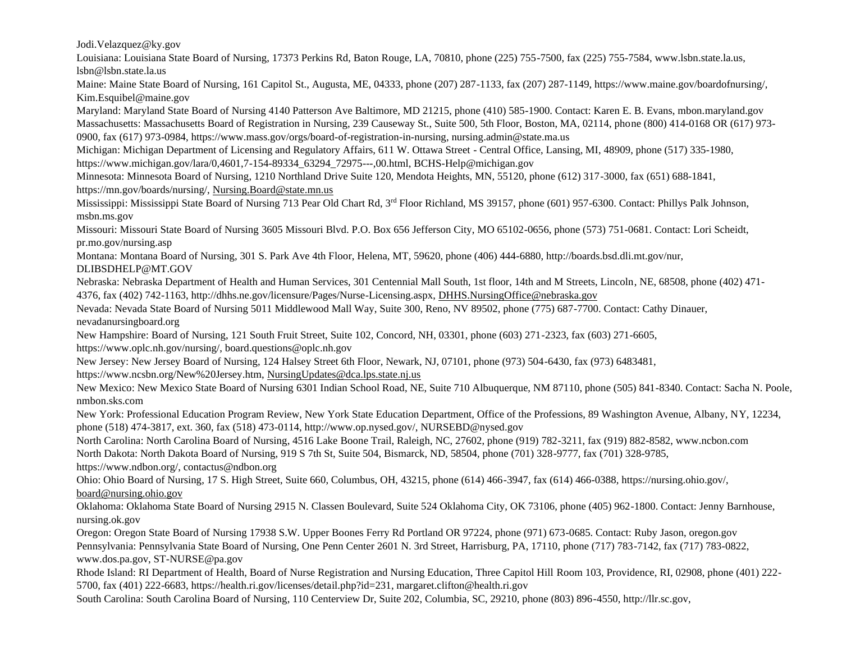Jodi.Velazquez@ky.gov

Louisiana: Louisiana State Board of Nursing, 17373 Perkins Rd, Baton Rouge, LA, 70810, phone (225) 755-7500, fax (225) 755-7584, www.lsbn.state.la.us, lsbn@lsbn.state.la.us

Maine: Maine State Board of Nursing, 161 Capitol St., Augusta, ME, 04333, phone (207) 287-1133, fax (207) 287-1149, https://www.maine.gov/boardofnursing/, Kim.Esquibel@maine.gov

Maryland: Maryland State Board of Nursing 4140 Patterson Ave Baltimore, MD 21215, phone (410) 585-1900. Contact: Karen E. B. Evans, mbon.maryland.gov Massachusetts: Massachusetts Board of Registration in Nursing, 239 Causeway St., Suite 500, 5th Floor, Boston, MA, 02114, phone (800) 414-0168 OR (617) 973- 0900, fax (617) 973-0984, https://www.mass.gov/orgs/board-of-registration-in-nursing, nursing.admin@state.ma.us

Michigan: Michigan Department of Licensing and Regulatory Affairs, 611 W. Ottawa Street - Central Office, Lansing, MI, 48909, phone (517) 335-1980, https://www.michigan.gov/lara/0,4601,7-154-89334\_63294\_72975---,00.html, BCHS-Help@michigan.gov

Minnesota: Minnesota Board of Nursing, 1210 Northland Drive Suite 120, Mendota Heights, MN, 55120, phone (612) 317-3000, fax (651) 688-1841,

https://mn.gov/boards/nursing/, [Nursing.Board@state.mn.us](mailto:Nursing.Board@state.mn.us)

Mississippi: Mississippi State Board of Nursing 713 Pear Old Chart Rd, 3rd Floor Richland, MS 39157, phone (601) 957-6300. Contact: Phillys Palk Johnson, msbn.ms.gov

Missouri: Missouri State Board of Nursing 3605 Missouri Blvd. P.O. Box 656 Jefferson City, MO 65102-0656, phone (573) 751-0681. Contact: Lori Scheidt, pr.mo.gov/nursing.asp

Montana: Montana Board of Nursing, 301 S. Park Ave 4th Floor, Helena, MT, 59620, phone (406) 444-6880, http://boards.bsd.dli.mt.gov/nur,

DLIBSDHELP@MT.GOV

Nebraska: Nebraska Department of Health and Human Services, 301 Centennial Mall South, 1st floor, 14th and M Streets, Lincoln, NE, 68508, phone (402) 471- 4376, fax (402) 742-1163, http://dhhs.ne.gov/licensure/Pages/Nurse-Licensing.aspx, [DHHS.NursingOffice@nebraska.gov](mailto:DHHS.NursingOffice@nebraska.gov)

Nevada: Nevada State Board of Nursing 5011 Middlewood Mall Way, Suite 300, Reno, NV 89502, phone (775) 687-7700. Contact: Cathy Dinauer, nevadanursingboard.org

New Hampshire: Board of Nursing, 121 South Fruit Street, Suite 102, Concord, NH, 03301, phone (603) 271-2323, fax (603) 271-6605, https://www.oplc.nh.gov/nursing/, board.questions@oplc.nh.gov

New Jersey: New Jersey Board of Nursing, 124 Halsey Street 6th Floor, Newark, NJ, 07101, phone (973) 504-6430, fax (973) 6483481,

https://www.ncsbn.org/New%20Jersey.htm, [NursingUpdates@dca.lps.state.nj.us](mailto:NursingUpdates@dca.lps.state.nj.us)

New Mexico: New Mexico State Board of Nursing 6301 Indian School Road, NE, Suite 710 Albuquerque, NM 87110, phone (505) 841-8340. Contact: Sacha N. Poole, nmbon.sks.com

New York: Professional Education Program Review, New York State Education Department, Office of the Professions, 89 Washington Avenue, Albany, NY, 12234, phone (518) 474-3817, ext. 360, fax (518) 473-0114, http://www.op.nysed.gov/, NURSEBD@nysed.gov

North Carolina: North Carolina Board of Nursing, 4516 Lake Boone Trail, Raleigh, NC, 27602, phone (919) 782-3211, fax (919) 882-8582, www.ncbon.com North Dakota: North Dakota Board of Nursing, 919 S 7th St, Suite 504, Bismarck, ND, 58504, phone (701) 328-9777, fax (701) 328-9785, https://www.ndbon.org/, contactus@ndbon.org

Ohio: Ohio Board of Nursing, 17 S. High Street, Suite 660, Columbus, OH, 43215, phone (614) 466-3947, fax (614) 466-0388, https://nursing.ohio.gov/, [board@nursing.ohio.gov](mailto:board@nursing.ohio.gov)

Oklahoma: Oklahoma State Board of Nursing 2915 N. Classen Boulevard, Suite 524 Oklahoma City, OK 73106, phone (405) 962-1800. Contact: Jenny Barnhouse, nursing.ok.gov

Oregon: Oregon State Board of Nursing 17938 S.W. Upper Boones Ferry Rd Portland OR 97224, phone (971) 673-0685. Contact: Ruby Jason, oregon.gov Pennsylvania: Pennsylvania State Board of Nursing, One Penn Center 2601 N. 3rd Street, Harrisburg, PA, 17110, phone (717) 783-7142, fax (717) 783-0822, www.dos.pa.gov, ST-NURSE@pa.gov

Rhode Island: RI Department of Health, Board of Nurse Registration and Nursing Education, Three Capitol Hill Room 103, Providence, RI, 02908, phone (401) 222- 5700, fax (401) 222-6683, https://health.ri.gov/licenses/detail.php?id=231, margaret.clifton@health.ri.gov

South Carolina: South Carolina Board of Nursing, 110 Centerview Dr, Suite 202, Columbia, SC, 29210, phone (803) 896-4550, http://llr.sc.gov,